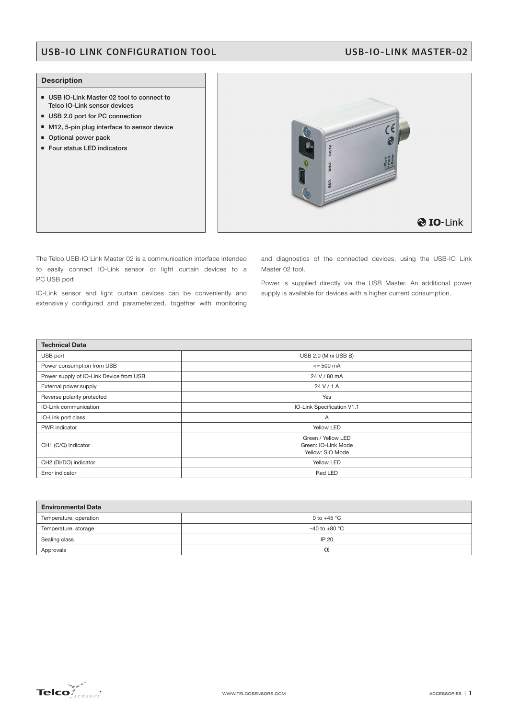## USB-IO LINK CONFIGURATION TOOL USB-IO-LINK MASTER-02

### **Description**

- USB IO-Link Master 02 tool to connect to **Telco IO-Link sensor devices**
- USB 2.0 port for PC connection
- M12, 5-pin plug interface to sensor device
- **Optional power pack**
- **Four status LED indicators**



The Telco USB-IO Link Master 02 is a communication interface intended to easily connect IO-Link sensor or light curtain devices to a PC USB port.

IO-Link sensor and light curtain devices can be conveniently and extensively configured and parameterized, together with monitoring

and diagnostics of the connected devices, using the USB-IO Link Master 02 tool.

Power is supplied directly via the USB Master. An additional power supply is available for devices with a higher current consumption.

| <b>Technical Data</b>                   |                                                               |  |
|-----------------------------------------|---------------------------------------------------------------|--|
| USB port                                | USB 2.0 (Mini USB B)                                          |  |
| Power consumption from USB              | $\leq$ 500 mA                                                 |  |
| Power supply of IO-Link Device from USB | 24 V / 80 mA                                                  |  |
| External power supply                   | 24 V/1 A                                                      |  |
| Reverse polarity protected              | Yes                                                           |  |
| IO-Link communication                   | IO-Link Specification V1.1                                    |  |
| IO-Link port class                      | A                                                             |  |
| PWR indicator                           | Yellow LED                                                    |  |
| CH1 (C/Q) indicator                     | Green / Yellow LED<br>Green: IO-Link Mode<br>Yellow: SIO Mode |  |
| CH2 (DI/DO) indicator                   | Yellow LED                                                    |  |
| Error indicator                         | Red LED                                                       |  |

| <b>Environmental Data</b> |                   |  |
|---------------------------|-------------------|--|
| Temperature, operation    | 0 to $+45$ °C     |  |
| Temperature, storage      | $-40$ to $+80$ °C |  |
| Sealing class             | IP 20             |  |
| Approvals                 | œ                 |  |